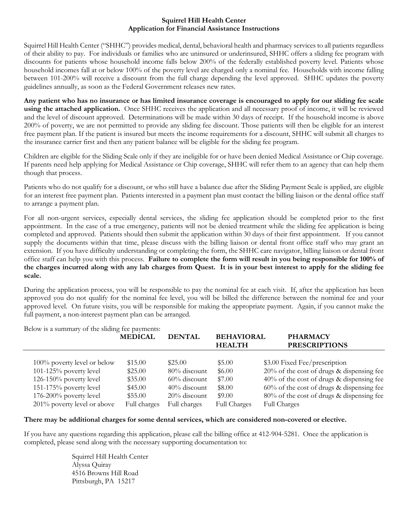#### **Squirrel Hill Health Center Application for Financial Assistance Instructions**

Squirrel Hill Health Center ("SHHC") provides medical, dental, behavioral health and pharmacy services to all patients regardless of their ability to pay. For individuals or families who are uninsured or underinsured, SHHC offers a sliding fee program with discounts for patients whose household income falls below 200% of the federally established poverty level. Patients whose household incomes fall at or below 100% of the poverty level are charged only a nominal fee. Households with income falling between 101-200% will receive a discount from the full charge depending the level approved. SHHC updates the poverty guidelines annually, as soon as the Federal Government releases new rates.

**Any patient who has no insurance or has limited insurance coverage is encouraged to apply for our sliding fee scale using the attached application.** Once SHHC receives the application and all necessary proof of income, it will be reviewed and the level of discount approved. Determinations will be made within 30 days of receipt. If the household income is above 200% of poverty, we are not permitted to provide any sliding fee discount. Those patients will then be eligible for an interest free payment plan. If the patient is insured but meets the income requirements for a discount, SHHC will submit all charges to the insurance carrier first and then any patient balance will be eligible for the sliding fee program.

Children are eligible for the Sliding Scale only if they are ineligible for or have been denied Medical Assistance or Chip coverage. If parents need help applying for Medical Assistance or Chip coverage, SHHC will refer them to an agency that can help them though that process.

Patients who do not qualify for a discount, or who still have a balance due after the Sliding Payment Scale is applied, are eligible for an interest free payment plan. Patients interested in a payment plan must contact the billing liaison or the dental office staff to arrange a payment plan.

For all non-urgent services, especially dental services, the sliding fee application should be completed prior to the first appointment. In the case of a true emergency, patients will not be denied treatment while the sliding fee application is being completed and approved. Patients should then submit the application within 30 days of their first appointment. If you cannot supply the documents within that time, please discuss with the billing liaison or dental front office staff who may grant an extension. If you have difficulty understanding or completing the form, the SHHC care navigator, billing liaison or dental front office staff can help you with this process. **Failure to complete the form will result in you being responsible for 100% of the charges incurred along with any lab charges from Quest. It is in your best interest to apply for the sliding fee scale.** 

During the application process, you will be responsible to pay the nominal fee at each visit. If, after the application has been approved you do not qualify for the nominal fee level, you will be billed the difference between the nominal fee and your approved level. On future visits, you will be responsible for making the appropriate payment. Again, if you cannot make the full payment, a non-interest payment plan can be arranged.

| Below is a summary of the sliding fee payments: |                |                 |                                    |                                              |
|-------------------------------------------------|----------------|-----------------|------------------------------------|----------------------------------------------|
|                                                 | <b>MEDICAL</b> | <b>DENTAL</b>   | <b>BEHAVIORAL</b><br><b>HEALTH</b> | <b>PHARMACY</b><br><b>PRESCRIPTIONS</b>      |
|                                                 |                |                 |                                    |                                              |
| 100% poverty level or below                     | \$15.00        | \$25.00         | \$5.00                             | \$3.00 Fixed Fee/prescription                |
| $101-125%$ poverty level                        | \$25.00        | 80% discount    | \$6.00                             | $20\%$ of the cost of drugs & dispensing fee |
| 126-150% poverty level                          | \$35.00        | $60\%$ discount | \$7.00                             | 40% of the cost of drugs & dispensing fee    |
| $151-175%$ poverty level                        | \$45.00        | $40\%$ discount | \$8.00                             | $60\%$ of the cost of drugs & dispensing fee |
| 176-200% poverty level                          | \$55.00        | $20\%$ discount | \$9.00                             | 80% of the cost of drugs & dispensing fee    |
| 201% poverty level or above                     | Full charges   | Full charges    | <b>Full Charges</b>                | <b>Full Charges</b>                          |

Below is a summary of the sliding fee payments:

#### **There may be additional charges for some dental services, which are considered non-covered or elective.**

If you have any questions regarding this application, please call the billing office at 412-904-5281. Once the application is completed, please send along with the necessary supporting documentation to:

> Squirrel Hill Health Center Alyssa Quiray 4516 Browns Hill Road Pittsburgh, PA 15217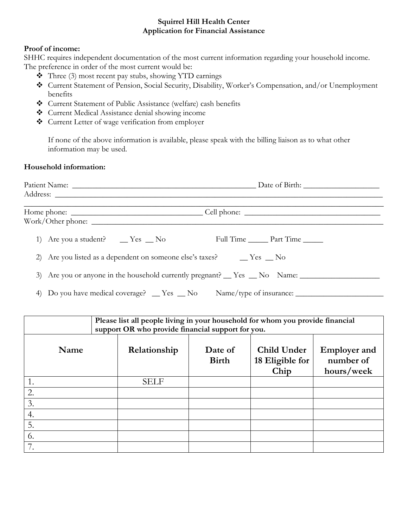# **Squirrel Hill Health Center Application for Financial Assistance**

## **Proof of income:**

SHHC requires independent documentation of the most current information regarding your household income. The preference in order of the most current would be:

- $\bullet$  Three (3) most recent pay stubs, showing YTD earnings
- Current Statement of Pension, Social Security, Disability, Worker's Compensation, and/or Unemployment benefits
- Current Statement of Public Assistance (welfare) cash benefits
- Current Medical Assistance denial showing income
- Current Letter of wage verification from employer

If none of the above information is available, please speak with the billing liaison as to what other information may be used.

### **Household information:**

|                                       | 3) Are you or anyone in the household currently pregnant? Tes Ro Name: |
|---------------------------------------|------------------------------------------------------------------------|
| $\Lambda$ iii $\Lambda$ iii $\Lambda$ |                                                                        |

4) Do you have medical coverage?  $\equiv$  Yes  $\equiv$  No Name/type of insurance:  $\equiv$ 

| Please list all people living in your household for whom you provide financial<br>support OR who provide financial support for you. |              |                         |                                        |                                                |  |
|-------------------------------------------------------------------------------------------------------------------------------------|--------------|-------------------------|----------------------------------------|------------------------------------------------|--|
| Name                                                                                                                                | Relationship | Date of<br><b>Birth</b> | Child Under<br>18 Eligible for<br>Chip | <b>Employer and</b><br>number of<br>hours/week |  |
|                                                                                                                                     | <b>SELF</b>  |                         |                                        |                                                |  |
| 2.                                                                                                                                  |              |                         |                                        |                                                |  |
| 3.                                                                                                                                  |              |                         |                                        |                                                |  |
| 4.                                                                                                                                  |              |                         |                                        |                                                |  |
| 5.                                                                                                                                  |              |                         |                                        |                                                |  |
| 6.                                                                                                                                  |              |                         |                                        |                                                |  |
| 7                                                                                                                                   |              |                         |                                        |                                                |  |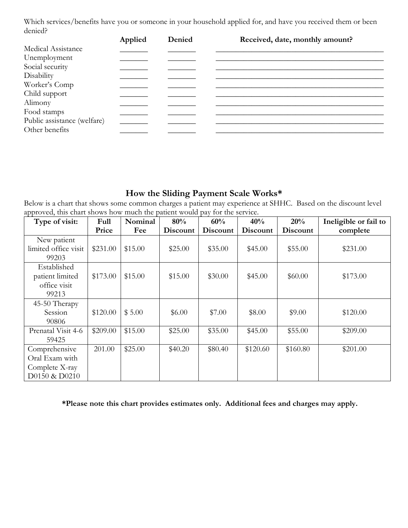Which services/benefits have you or someone in your household applied for, and have you received them or been denied?

|                             | Applied | Denied | Received, date, monthly amount? |
|-----------------------------|---------|--------|---------------------------------|
| Medical Assistance          |         |        |                                 |
| Unemployment                |         |        |                                 |
| Social security             |         |        |                                 |
| Disability                  |         |        |                                 |
| Worker's Comp               |         |        |                                 |
| Child support               |         |        |                                 |
| Alimony                     |         |        |                                 |
| Food stamps                 |         |        |                                 |
| Public assistance (welfare) |         |        |                                 |
| Other benefits              |         |        |                                 |

# **How the Sliding Payment Scale Works\***

Below is a chart that shows some common charges a patient may experience at SHHC. Based on the discount level approved, this chart shows how much the patient would pay for the service.

| Type of visit:       | Full     | Nominal | 80%      | 60%             | 40%             | 20%             | Ineligible or fail to |
|----------------------|----------|---------|----------|-----------------|-----------------|-----------------|-----------------------|
|                      | Price    | Fee     | Discount | <b>Discount</b> | <b>Discount</b> | <b>Discount</b> | complete              |
| New patient          |          |         |          |                 |                 |                 |                       |
| limited office visit | \$231.00 | \$15.00 | \$25.00  | \$35.00         | \$45.00         | \$55.00         | \$231.00              |
| 99203                |          |         |          |                 |                 |                 |                       |
| Established          |          |         |          |                 |                 |                 |                       |
| patient limited      | \$173.00 | \$15.00 | \$15.00  | \$30.00         | \$45.00         | \$60.00         | \$173.00              |
| office visit         |          |         |          |                 |                 |                 |                       |
| 99213                |          |         |          |                 |                 |                 |                       |
| 45-50 Therapy        |          |         |          |                 |                 |                 |                       |
| Session              | \$120.00 | \$5.00  | \$6.00   | \$7.00          | \$8.00          | \$9.00          | \$120.00              |
| 90806                |          |         |          |                 |                 |                 |                       |
| Prenatal Visit 4-6   | \$209.00 | \$15.00 | \$25.00  | \$35.00         | \$45.00         | \$55.00         | \$209.00              |
| 59425                |          |         |          |                 |                 |                 |                       |
| Comprehensive        | 201.00   | \$25.00 | \$40.20  | \$80.40         | \$120.60        | \$160.80        | \$201.00              |
| Oral Exam with       |          |         |          |                 |                 |                 |                       |
| Complete X-ray       |          |         |          |                 |                 |                 |                       |
| D0150 & D0210        |          |         |          |                 |                 |                 |                       |

**\*Please note this chart provides estimates only. Additional fees and charges may apply.**